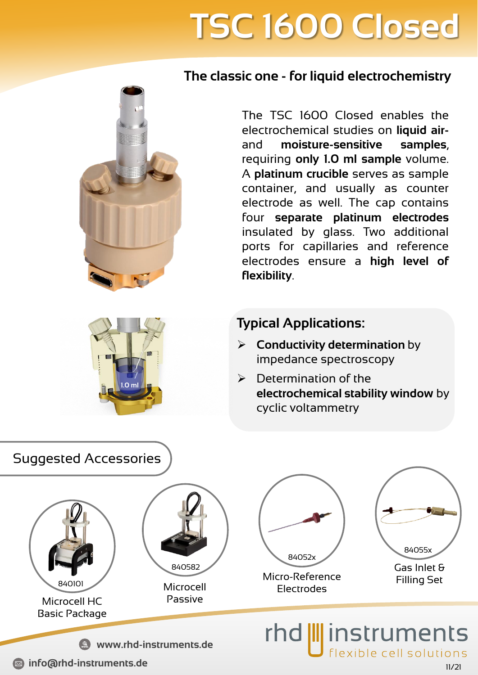# **TSC 1600 Closed**

#### **The classic one - for liquid electrochemistry**

The TSC 1600 Closed enables the electrochemical studies on **liquid air**and **moisture-sensitive samples**, requiring **only 1.0 ml sample** volume. A **platinum crucible** serves as sample container, and usually as counter electrode as well. The cap contains four **separate platinum electrodes** insulated by glass. Two additional ports for capillaries and reference electrodes ensure a **high level of flexibility**.

#### **Typical Applications:**

- ➢ **Conductivity determination** by impedance spectroscopy
- $\triangleright$  Determination of the **electrochemical stability window** by cyclic voltammetry